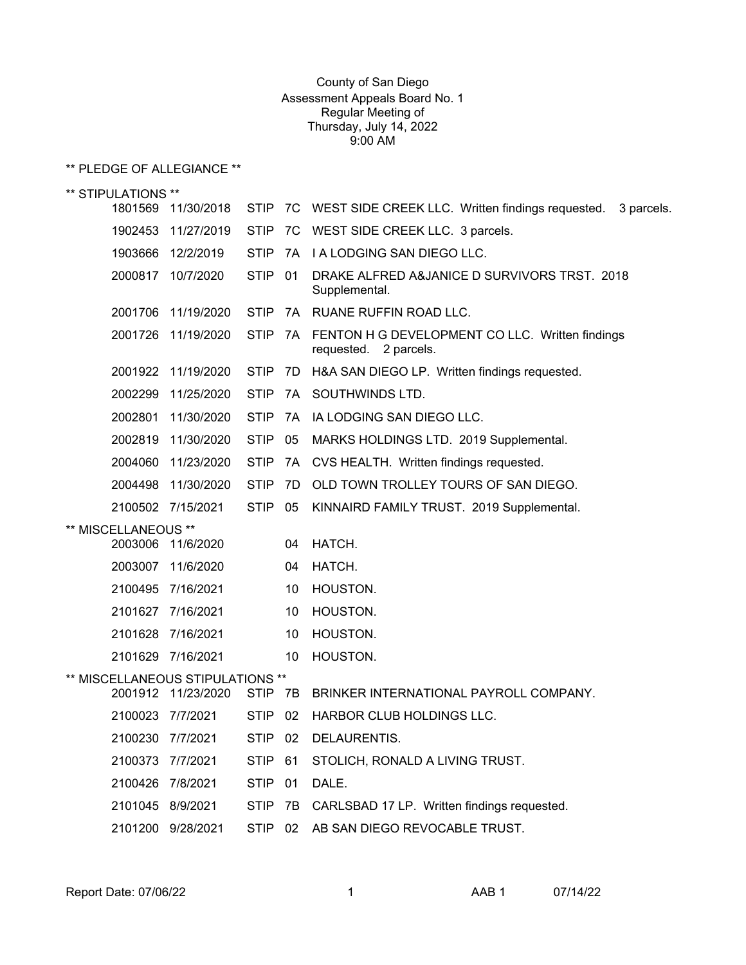## \*\* PLEDGE OF ALLEGIANCE \*\*

| ** STIPULATIONS **  |                                  |             |      |                                                                          |
|---------------------|----------------------------------|-------------|------|--------------------------------------------------------------------------|
| 1801569             | 11/30/2018                       | <b>STIP</b> | 7C   | WEST SIDE CREEK LLC. Written findings requested. 3 parcels.              |
| 1902453             | 11/27/2019                       | <b>STIP</b> | 7C   | WEST SIDE CREEK LLC. 3 parcels.                                          |
| 1903666             | 12/2/2019                        | <b>STIP</b> | 7A   | I A LODGING SAN DIEGO LLC.                                               |
| 2000817             | 10/7/2020                        | <b>STIP</b> | 01   | DRAKE ALFRED A&JANICE D SURVIVORS TRST. 2018<br>Supplemental.            |
| 2001706             | 11/19/2020                       | <b>STIP</b> | 7A   | RUANE RUFFIN ROAD LLC.                                                   |
| 2001726             | 11/19/2020                       | <b>STIP</b> | 7A   | FENTON H G DEVELOPMENT CO LLC. Written findings<br>requested. 2 parcels. |
| 2001922             | 11/19/2020                       | <b>STIP</b> | 7D   | H&A SAN DIEGO LP. Written findings requested.                            |
| 2002299             | 11/25/2020                       | <b>STIP</b> | 7A   | SOUTHWINDS LTD.                                                          |
| 2002801             | 11/30/2020                       | <b>STIP</b> | 7A   | IA LODGING SAN DIEGO LLC.                                                |
| 2002819             | 11/30/2020                       | <b>STIP</b> | 05   | MARKS HOLDINGS LTD. 2019 Supplemental.                                   |
| 2004060             | 11/23/2020                       | <b>STIP</b> | 7A   | CVS HEALTH. Written findings requested.                                  |
| 2004498             | 11/30/2020                       | <b>STIP</b> | 7D   | OLD TOWN TROLLEY TOURS OF SAN DIEGO.                                     |
| 2100502             | 7/15/2021                        | <b>STIP</b> | 05   | KINNAIRD FAMILY TRUST. 2019 Supplemental.                                |
| ** MISCELLANEOUS ** | 2003006 11/6/2020                |             | 04   | HATCH.                                                                   |
| 2003007             | 11/6/2020                        |             | 04   | HATCH.                                                                   |
| 2100495             | 7/16/2021                        |             | 10   | HOUSTON.                                                                 |
| 2101627             | 7/16/2021                        |             | 10   | HOUSTON.                                                                 |
| 2101628             | 7/16/2021                        |             | 10   | HOUSTON.                                                                 |
|                     | 2101629 7/16/2021                |             | 10   | HOUSTON.                                                                 |
|                     | ** MISCELLANEOUS STIPULATIONS ** |             |      |                                                                          |
|                     | 2001912 11/23/2020               | <b>STIP</b> | - 7B | BRINKER INTERNATIONAL PAYROLL COMPANY.                                   |
| 2100023 7/7/2021    |                                  | <b>STIP</b> | 02   | HARBOR CLUB HOLDINGS LLC.                                                |
| 2100230             | 7/7/2021                         | STIP        | 02   | DELAURENTIS.                                                             |
| 2100373             | 7/7/2021                         | <b>STIP</b> | 61   | STOLICH, RONALD A LIVING TRUST.                                          |
| 2100426             | 7/8/2021                         | <b>STIP</b> | 01   | DALE.                                                                    |
| 2101045             | 8/9/2021                         | <b>STIP</b> | 7B   | CARLSBAD 17 LP. Written findings requested.                              |
|                     | 2101200 9/28/2021                | <b>STIP</b> | 02   | AB SAN DIEGO REVOCABLE TRUST.                                            |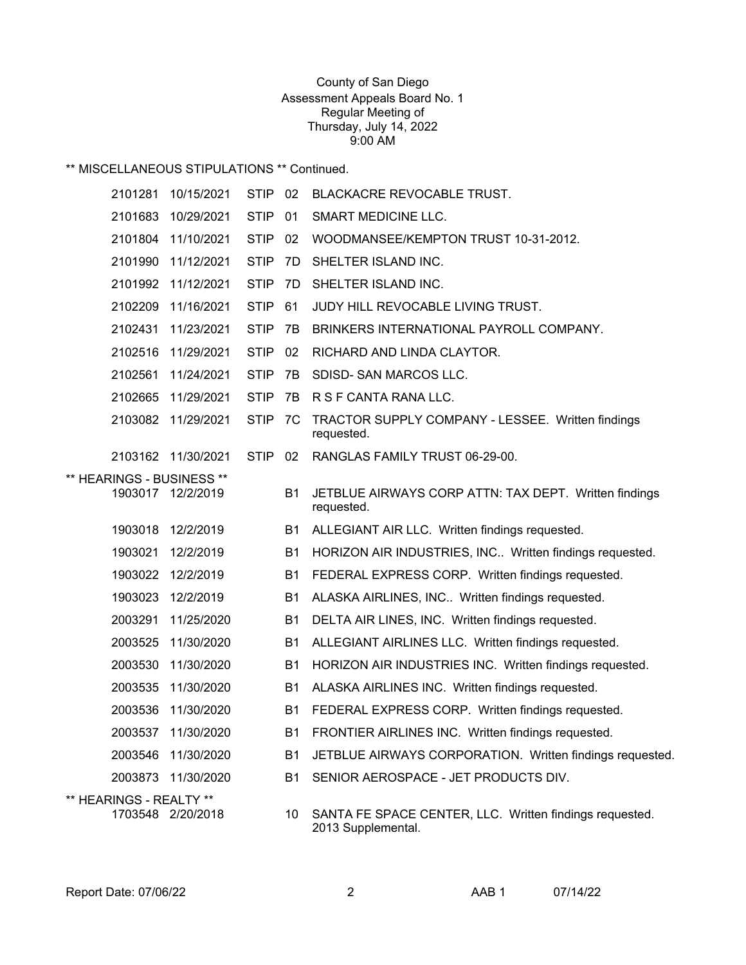\*\* MISCELLANEOUS STIPULATIONS \*\* Continued.

| 2101281                 | 10/15/2021                | <b>STIP</b> | 02        | <b>BLACKACRE REVOCABLE TRUST.</b>                                             |
|-------------------------|---------------------------|-------------|-----------|-------------------------------------------------------------------------------|
| 2101683                 | 10/29/2021                | <b>STIP</b> | 01        | SMART MEDICINE LLC.                                                           |
| 2101804                 | 11/10/2021                | <b>STIP</b> | 02        | WOODMANSEE/KEMPTON TRUST 10-31-2012.                                          |
| 2101990                 | 11/12/2021                | <b>STIP</b> | 7D        | SHELTER ISLAND INC.                                                           |
| 2101992                 | 11/12/2021                | <b>STIP</b> | 7D        | SHELTER ISLAND INC.                                                           |
| 2102209                 | 11/16/2021                | <b>STIP</b> | 61        | JUDY HILL REVOCABLE LIVING TRUST.                                             |
| 2102431                 | 11/23/2021                | <b>STIP</b> | 7B        | BRINKERS INTERNATIONAL PAYROLL COMPANY.                                       |
| 2102516                 | 11/29/2021                | <b>STIP</b> | 02        | RICHARD AND LINDA CLAYTOR.                                                    |
| 2102561                 | 11/24/2021                | <b>STIP</b> | 7В        | SDISD-SAN MARCOS LLC.                                                         |
| 2102665                 | 11/29/2021                | <b>STIP</b> | 7B        | R S F CANTA RANA LLC.                                                         |
| 2103082                 | 11/29/2021                | <b>STIP</b> | - 7C      | TRACTOR SUPPLY COMPANY - LESSEE. Written findings<br>requested.               |
|                         | 2103162 11/30/2021        | STIP 02     |           | RANGLAS FAMILY TRUST 06-29-00.                                                |
|                         | ** HEARINGS - BUSINESS ** |             |           |                                                                               |
|                         | 1903017 12/2/2019         |             | <b>B1</b> | JETBLUE AIRWAYS CORP ATTN: TAX DEPT. Written findings<br>requested.           |
| 1903018                 | 12/2/2019                 |             | B1        | ALLEGIANT AIR LLC. Written findings requested.                                |
| 1903021                 | 12/2/2019                 |             | B1        | HORIZON AIR INDUSTRIES, INC Written findings requested.                       |
| 1903022                 | 12/2/2019                 |             | <b>B1</b> | FEDERAL EXPRESS CORP. Written findings requested.                             |
| 1903023                 | 12/2/2019                 |             | <b>B1</b> | ALASKA AIRLINES, INC Written findings requested.                              |
| 2003291                 | 11/25/2020                |             | <b>B1</b> | DELTA AIR LINES, INC. Written findings requested.                             |
| 2003525                 | 11/30/2020                |             | <b>B1</b> | ALLEGIANT AIRLINES LLC. Written findings requested.                           |
| 2003530                 | 11/30/2020                |             | <b>B1</b> | HORIZON AIR INDUSTRIES INC. Written findings requested.                       |
| 2003535                 | 11/30/2020                |             | <b>B1</b> | ALASKA AIRLINES INC. Written findings requested.                              |
| 2003536                 | 11/30/2020                |             | <b>B1</b> | FEDERAL EXPRESS CORP. Written findings requested.                             |
|                         | 2003537 11/30/2020        |             |           | B1 FRONTIER AIRLINES INC. Written findings requested.                         |
| 2003546                 | 11/30/2020                |             | <b>B1</b> | JETBLUE AIRWAYS CORPORATION. Written findings requested.                      |
|                         | 2003873 11/30/2020        |             | <b>B1</b> | SENIOR AEROSPACE - JET PRODUCTS DIV.                                          |
| ** HEARINGS - REALTY ** | 1703548 2/20/2018         |             | 10        | SANTA FE SPACE CENTER, LLC. Written findings requested.<br>2013 Supplemental. |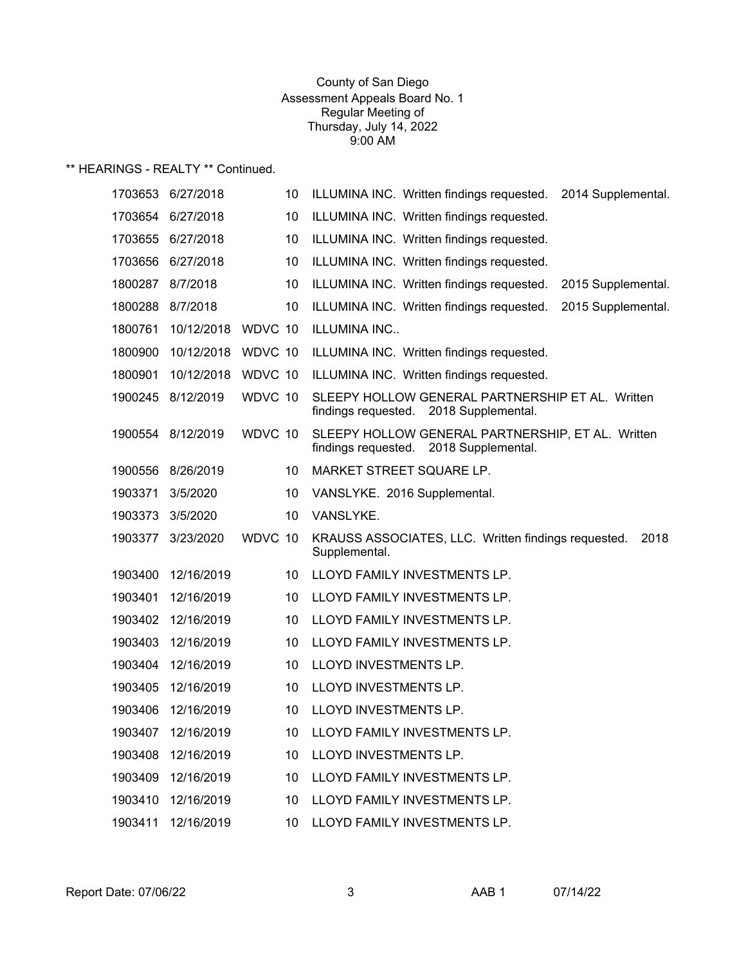| 1703653 | 6/27/2018          |         | 10              | ILLUMINA INC. Written findings requested.<br>2014 Supplemental.                             |
|---------|--------------------|---------|-----------------|---------------------------------------------------------------------------------------------|
| 1703654 | 6/27/2018          |         | 10              | ILLUMINA INC. Written findings requested.                                                   |
| 1703655 | 6/27/2018          |         | 10              | ILLUMINA INC. Written findings requested.                                                   |
| 1703656 | 6/27/2018          |         | 10              | ILLUMINA INC. Written findings requested.                                                   |
| 1800287 | 8/7/2018           |         | 10              | ILLUMINA INC. Written findings requested.<br>2015 Supplemental.                             |
| 1800288 | 8/7/2018           |         | 10              | ILLUMINA INC. Written findings requested.<br>2015 Supplemental.                             |
| 1800761 | 10/12/2018         | WDVC 10 |                 | <b>ILLUMINA INC</b>                                                                         |
| 1800900 | 10/12/2018         | WDVC 10 |                 | ILLUMINA INC. Written findings requested.                                                   |
| 1800901 | 10/12/2018         | WDVC 10 |                 | ILLUMINA INC. Written findings requested.                                                   |
| 1900245 | 8/12/2019          | WDVC 10 |                 | SLEEPY HOLLOW GENERAL PARTNERSHIP ET AL. Written<br>findings requested. 2018 Supplemental.  |
|         | 1900554 8/12/2019  | WDVC 10 |                 | SLEEPY HOLLOW GENERAL PARTNERSHIP, ET AL. Written<br>findings requested. 2018 Supplemental. |
| 1900556 | 8/26/2019          |         | 10              | MARKET STREET SQUARE LP.                                                                    |
| 1903371 | 3/5/2020           |         | 10              | VANSLYKE. 2016 Supplemental.                                                                |
| 1903373 | 3/5/2020           |         | 10              | VANSLYKE.                                                                                   |
| 1903377 | 3/23/2020          | WDVC 10 |                 | KRAUSS ASSOCIATES, LLC. Written findings requested.<br>2018<br>Supplemental.                |
| 1903400 | 12/16/2019         |         | 10              | LLOYD FAMILY INVESTMENTS LP.                                                                |
| 1903401 | 12/16/2019         |         | 10              | LLOYD FAMILY INVESTMENTS LP.                                                                |
| 1903402 | 12/16/2019         |         | 10              | LLOYD FAMILY INVESTMENTS LP.                                                                |
| 1903403 | 12/16/2019         |         | 10              | LLOYD FAMILY INVESTMENTS LP.                                                                |
| 1903404 | 12/16/2019         |         | 10              | LLOYD INVESTMENTS LP.                                                                       |
| 1903405 | 12/16/2019         |         | 10              | LLOYD INVESTMENTS LP.                                                                       |
| 1903406 | 12/16/2019         |         | 10              | LLOYD INVESTMENTS LP.                                                                       |
|         | 1903407 12/16/2019 |         |                 | 10 LLOYD FAMILY INVESTMENTS LP.                                                             |
| 1903408 | 12/16/2019         |         | 10              | LLOYD INVESTMENTS LP.                                                                       |
| 1903409 | 12/16/2019         |         | 10              | LLOYD FAMILY INVESTMENTS LP.                                                                |
| 1903410 | 12/16/2019         |         | 10              | LLOYD FAMILY INVESTMENTS LP.                                                                |
| 1903411 | 12/16/2019         |         | 10 <sup>°</sup> | LLOYD FAMILY INVESTMENTS LP.                                                                |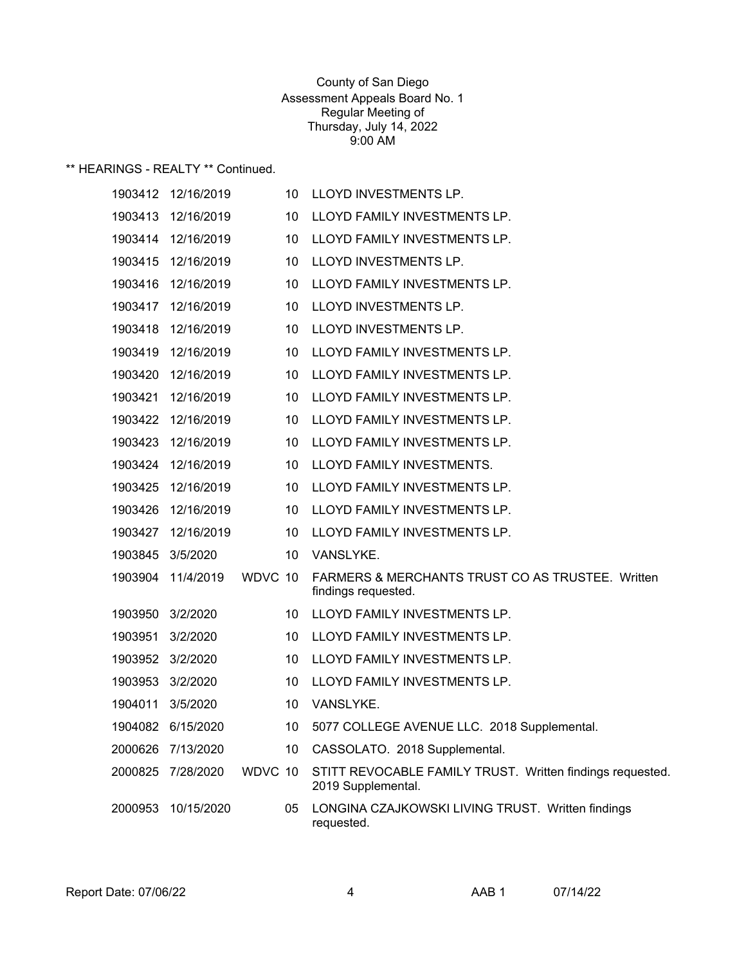| 1903412 | 12/16/2019 |         | 10 | LLOYD INVESTMENTS LP.                                                              |
|---------|------------|---------|----|------------------------------------------------------------------------------------|
| 1903413 | 12/16/2019 |         | 10 | LLOYD FAMILY INVESTMENTS LP.                                                       |
| 1903414 | 12/16/2019 |         | 10 | LLOYD FAMILY INVESTMENTS LP.                                                       |
| 1903415 | 12/16/2019 |         | 10 | LLOYD INVESTMENTS LP.                                                              |
| 1903416 | 12/16/2019 |         | 10 | LLOYD FAMILY INVESTMENTS LP.                                                       |
| 1903417 | 12/16/2019 |         | 10 | LLOYD INVESTMENTS LP.                                                              |
| 1903418 | 12/16/2019 |         | 10 | LLOYD INVESTMENTS LP.                                                              |
| 1903419 | 12/16/2019 |         | 10 | LLOYD FAMILY INVESTMENTS LP.                                                       |
| 1903420 | 12/16/2019 |         | 10 | LLOYD FAMILY INVESTMENTS LP.                                                       |
| 1903421 | 12/16/2019 |         | 10 | LLOYD FAMILY INVESTMENTS LP.                                                       |
| 1903422 | 12/16/2019 |         | 10 | LLOYD FAMILY INVESTMENTS LP.                                                       |
| 1903423 | 12/16/2019 |         | 10 | LLOYD FAMILY INVESTMENTS LP.                                                       |
| 1903424 | 12/16/2019 |         | 10 | LLOYD FAMILY INVESTMENTS.                                                          |
| 1903425 | 12/16/2019 |         | 10 | LLOYD FAMILY INVESTMENTS LP.                                                       |
| 1903426 | 12/16/2019 |         | 10 | LLOYD FAMILY INVESTMENTS LP.                                                       |
| 1903427 | 12/16/2019 |         | 10 | LLOYD FAMILY INVESTMENTS LP.                                                       |
| 1903845 | 3/5/2020   |         | 10 | VANSLYKE.                                                                          |
| 1903904 | 11/4/2019  | WDVC 10 |    | <b>FARMERS &amp; MERCHANTS TRUST CO AS TRUSTEE. Written</b><br>findings requested. |
| 1903950 | 3/2/2020   |         | 10 | LLOYD FAMILY INVESTMENTS LP.                                                       |
| 1903951 | 3/2/2020   |         | 10 | LLOYD FAMILY INVESTMENTS LP.                                                       |
| 1903952 | 3/2/2020   |         | 10 | LLOYD FAMILY INVESTMENTS LP.                                                       |
| 1903953 | 3/2/2020   |         | 10 | LLOYD FAMILY INVESTMENTS LP.                                                       |
| 1904011 | 3/5/2020   |         | 10 | VANSLYKE.                                                                          |
| 1904082 | 6/15/2020  |         | 10 | 5077 COLLEGE AVENUE LLC. 2018 Supplemental.                                        |
| 2000626 | 7/13/2020  |         | 10 | CASSOLATO. 2018 Supplemental.                                                      |
| 2000825 | 7/28/2020  | WDVC 10 |    | STITT REVOCABLE FAMILY TRUST. Written findings requested.<br>2019 Supplemental.    |
| 2000953 | 10/15/2020 |         | 05 | LONGINA CZAJKOWSKI LIVING TRUST. Written findings<br>requested.                    |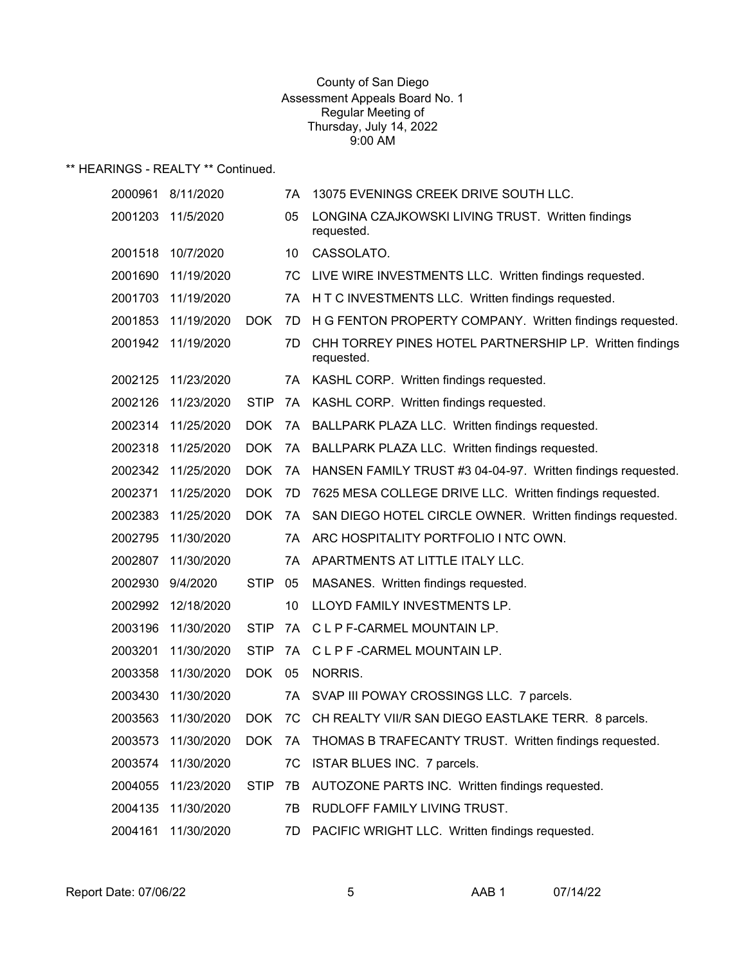| 8/11/2020  |             | 7A   | 13075 EVENINGS CREEK DRIVE SOUTH LLC.                                 |
|------------|-------------|------|-----------------------------------------------------------------------|
| 11/5/2020  |             | 05   | LONGINA CZAJKOWSKI LIVING TRUST. Written findings<br>requested.       |
| 10/7/2020  |             | 10   | CASSOLATO.                                                            |
| 11/19/2020 |             | 7C   | LIVE WIRE INVESTMENTS LLC. Written findings requested.                |
| 11/19/2020 |             | 7A   | HTC INVESTMENTS LLC. Written findings requested.                      |
| 11/19/2020 | <b>DOK</b>  | 7D   | H G FENTON PROPERTY COMPANY. Written findings requested.              |
| 11/19/2020 |             | 7D   | CHH TORREY PINES HOTEL PARTNERSHIP LP. Written findings<br>requested. |
| 11/23/2020 |             | 7A   | KASHL CORP. Written findings requested.                               |
| 11/23/2020 | <b>STIP</b> | 7A   | KASHL CORP. Written findings requested.                               |
| 11/25/2020 | <b>DOK</b>  | 7A   | BALLPARK PLAZA LLC. Written findings requested.                       |
| 11/25/2020 | <b>DOK</b>  | 7A   | BALLPARK PLAZA LLC. Written findings requested.                       |
| 11/25/2020 | <b>DOK</b>  | 7A   | HANSEN FAMILY TRUST #3 04-04-97. Written findings requested.          |
| 11/25/2020 | <b>DOK</b>  | 7D   | 7625 MESA COLLEGE DRIVE LLC. Written findings requested.              |
| 11/25/2020 | <b>DOK</b>  | 7A   | SAN DIEGO HOTEL CIRCLE OWNER. Written findings requested.             |
| 11/30/2020 |             | 7A   | ARC HOSPITALITY PORTFOLIO I NTC OWN.                                  |
| 11/30/2020 |             | 7A   | APARTMENTS AT LITTLE ITALY LLC.                                       |
| 9/4/2020   | <b>STIP</b> | 05   | MASANES. Written findings requested.                                  |
| 12/18/2020 |             | 10   | LLOYD FAMILY INVESTMENTS LP.                                          |
| 11/30/2020 | <b>STIP</b> | 7A   | C L P F-CARMEL MOUNTAIN LP.                                           |
| 11/30/2020 | <b>STIP</b> | 7A   | CLPF-CARMEL MOUNTAIN LP.                                              |
| 11/30/2020 | <b>DOK</b>  | 05   | NORRIS.                                                               |
| 11/30/2020 |             | 7A   | SVAP III POWAY CROSSINGS LLC. 7 parcels.                              |
| 11/30/2020 | <b>DOK</b>  | 7C   | CH REALTY VII/R SAN DIEGO EASTLAKE TERR. 8 parcels.                   |
| 11/30/2020 | <b>DOK</b>  |      | THOMAS B TRAFECANTY TRUST. Written findings requested.                |
| 11/30/2020 |             | 7C   | ISTAR BLUES INC. 7 parcels.                                           |
| 11/23/2020 | <b>STIP</b> | 7B   | AUTOZONE PARTS INC. Written findings requested.                       |
| 11/30/2020 |             | 7В   | RUDLOFF FAMILY LIVING TRUST.                                          |
| 11/30/2020 |             | 7D - | PACIFIC WRIGHT LLC. Written findings requested.                       |
|            |             |      | 7A                                                                    |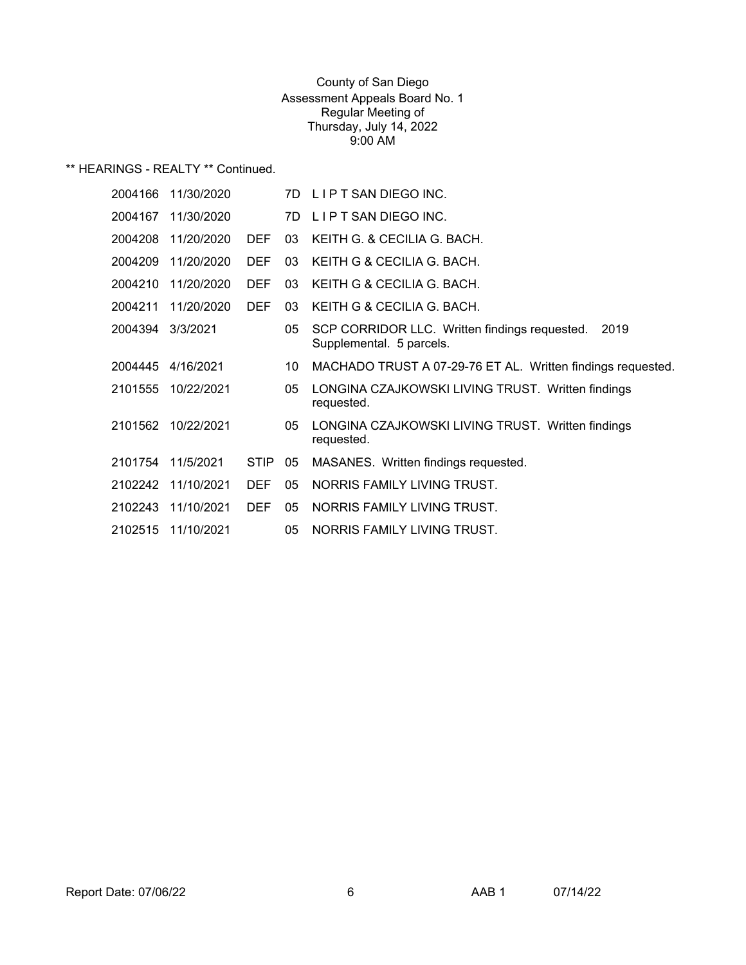| 11/30/2020 |             |                 | 7D LIPT SAN DIEGO INC.                                                         |
|------------|-------------|-----------------|--------------------------------------------------------------------------------|
| 11/30/2020 |             | 7D.             | LIPT SAN DIEGO INC.                                                            |
| 11/20/2020 | DEF         | 03              | KEITH G. & CECILIA G. BACH.                                                    |
| 11/20/2020 | <b>DEF</b>  | 03              | KEITH G & CECILIA G. BACH.                                                     |
| 11/20/2020 | <b>DEF</b>  | 03              | KEITH G & CECILIA G. BACH.                                                     |
| 11/20/2020 | <b>DEF</b>  | 03              | KEITH G & CECILIA G. BACH.                                                     |
| 3/3/2021   |             | 05              | SCP CORRIDOR LLC. Written findings requested. 2019<br>Supplemental. 5 parcels. |
| 4/16/2021  |             | 10 <sup>°</sup> | MACHADO TRUST A 07-29-76 ET AL. Written findings requested.                    |
| 10/22/2021 |             | 05              | LONGINA CZAJKOWSKI LIVING TRUST. Written findings<br>requested.                |
| 10/22/2021 |             | 05              | LONGINA CZAJKOWSKI LIVING TRUST. Written findings<br>requested.                |
| 11/5/2021  | <b>STIP</b> | 05              | MASANES. Written findings requested.                                           |
| 11/10/2021 | <b>DEF</b>  | 05              | NORRIS FAMILY LIVING TRUST.                                                    |
| 11/10/2021 | <b>DEF</b>  | 05              | NORRIS FAMILY LIVING TRUST.                                                    |
| 11/10/2021 |             | 05              | NORRIS FAMILY LIVING TRUST.                                                    |
|            |             |                 |                                                                                |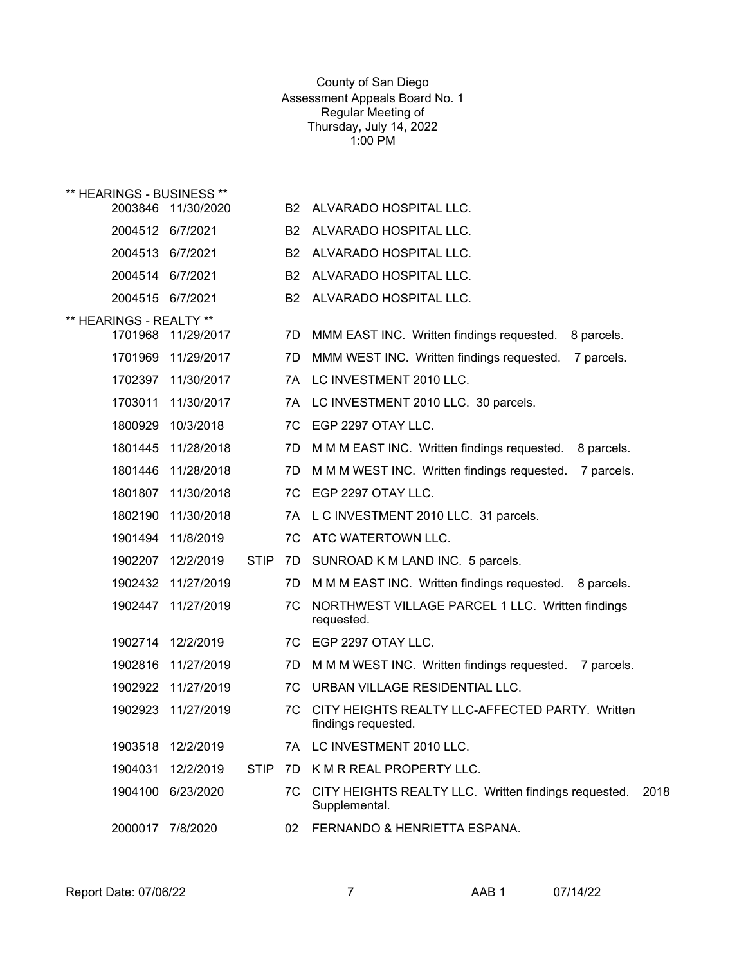|                                    | ** HEARINGS - BUSINESS ** |             |           |                                                                               |
|------------------------------------|---------------------------|-------------|-----------|-------------------------------------------------------------------------------|
|                                    | 2003846 11/30/2020        |             | B2 -      | ALVARADO HOSPITAL LLC.                                                        |
| 2004512 6/7/2021                   |                           |             | <b>B2</b> | ALVARADO HOSPITAL LLC.                                                        |
| 2004513 6/7/2021                   |                           |             | <b>B2</b> | ALVARADO HOSPITAL LLC.                                                        |
| 2004514 6/7/2021                   |                           |             | <b>B2</b> | ALVARADO HOSPITAL LLC.                                                        |
| 2004515 6/7/2021                   |                           |             | <b>B2</b> | ALVARADO HOSPITAL LLC.                                                        |
| ** HEARINGS - REALTY **<br>1701968 | 11/29/2017                |             | 7D        | MMM EAST INC. Written findings requested.<br>8 parcels.                       |
| 1701969                            | 11/29/2017                |             | 7D        | MMM WEST INC. Written findings requested.<br>7 parcels.                       |
| 1702397                            | 11/30/2017                |             | 7A        | LC INVESTMENT 2010 LLC.                                                       |
| 1703011                            | 11/30/2017                |             | 7A.       | LC INVESTMENT 2010 LLC. 30 parcels.                                           |
| 1800929                            | 10/3/2018                 |             | 7C        | EGP 2297 OTAY LLC.                                                            |
| 1801445                            | 11/28/2018                |             | 7D        | M M M EAST INC. Written findings requested.<br>8 parcels.                     |
| 1801446                            | 11/28/2018                |             | 7D        | M M M WEST INC. Written findings requested.<br>7 parcels.                     |
| 1801807                            | 11/30/2018                |             | 7C        | EGP 2297 OTAY LLC.                                                            |
| 1802190                            | 11/30/2018                |             | 7A        | L C INVESTMENT 2010 LLC. 31 parcels.                                          |
| 1901494                            | 11/8/2019                 |             | 7C        | ATC WATERTOWN LLC.                                                            |
| 1902207                            | 12/2/2019                 | <b>STIP</b> | 7D        | SUNROAD K M LAND INC. 5 parcels.                                              |
| 1902432                            | 11/27/2019                |             | 7D        | M M M EAST INC. Written findings requested. 8 parcels.                        |
| 1902447                            | 11/27/2019                |             | 7C        | NORTHWEST VILLAGE PARCEL 1 LLC. Written findings<br>requested.                |
| 1902714                            | 12/2/2019                 |             | 7C        | EGP 2297 OTAY LLC.                                                            |
| 1902816                            | 11/27/2019                |             | 7D        | M M M WEST INC. Written findings requested. 7 parcels.                        |
| 1902922                            | 11/27/2019                |             | 7C        | URBAN VILLAGE RESIDENTIAL LLC.                                                |
| 1902923                            | 11/27/2019                |             | 7C        | CITY HEIGHTS REALTY LLC-AFFECTED PARTY. Written<br>findings requested.        |
| 1903518                            | 12/2/2019                 |             |           | 7A LC INVESTMENT 2010 LLC.                                                    |
| 1904031                            | 12/2/2019                 | <b>STIP</b> | 7D        | K M R REAL PROPERTY LLC.                                                      |
| 1904100                            | 6/23/2020                 |             | 7C.       | CITY HEIGHTS REALTY LLC. Written findings requested.<br>2018<br>Supplemental. |
| 2000017                            | 7/8/2020                  |             | 02        | FERNANDO & HENRIETTA ESPANA.                                                  |
|                                    |                           |             |           |                                                                               |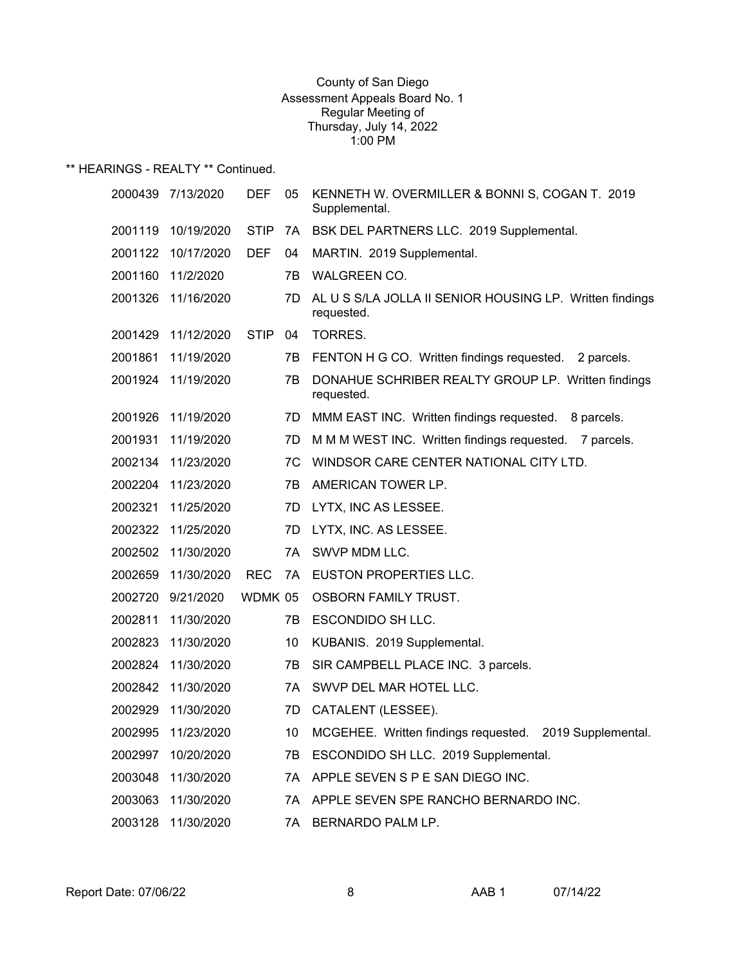| 2000439 | 7/13/2020          | <b>DEF</b>  | 05  | KENNETH W. OVERMILLER & BONNI S, COGAN T. 2019<br>Supplemental.        |
|---------|--------------------|-------------|-----|------------------------------------------------------------------------|
| 2001119 | 10/19/2020         | <b>STIP</b> | 7A  | BSK DEL PARTNERS LLC. 2019 Supplemental.                               |
| 2001122 | 10/17/2020         | <b>DEF</b>  | 04  | MARTIN. 2019 Supplemental.                                             |
| 2001160 | 11/2/2020          |             | 7B  | <b>WALGREEN CO.</b>                                                    |
| 2001326 | 11/16/2020         |             | 7D. | AL U S S/LA JOLLA II SENIOR HOUSING LP. Written findings<br>requested. |
| 2001429 | 11/12/2020         | <b>STIP</b> | 04  | TORRES.                                                                |
| 2001861 | 11/19/2020         |             | 7В  | FENTON H G CO. Written findings requested.<br>2 parcels.               |
| 2001924 | 11/19/2020         |             | 7B  | DONAHUE SCHRIBER REALTY GROUP LP. Written findings<br>requested.       |
| 2001926 | 11/19/2020         |             | 7D. | MMM EAST INC. Written findings requested. 8 parcels.                   |
| 2001931 | 11/19/2020         |             | 7D  | M M M WEST INC. Written findings requested. 7 parcels.                 |
| 2002134 | 11/23/2020         |             | 7C  | WINDSOR CARE CENTER NATIONAL CITY LTD.                                 |
| 2002204 | 11/23/2020         |             | 7В  | AMERICAN TOWER LP.                                                     |
| 2002321 | 11/25/2020         |             | 7D  | LYTX, INC AS LESSEE.                                                   |
| 2002322 | 11/25/2020         |             | 7D  | LYTX, INC. AS LESSEE.                                                  |
| 2002502 | 11/30/2020         |             | 7A  | SWVP MDM LLC.                                                          |
| 2002659 | 11/30/2020         | <b>REC</b>  | 7A  | EUSTON PROPERTIES LLC.                                                 |
| 2002720 | 9/21/2020          | WDMK 05     |     | OSBORN FAMILY TRUST.                                                   |
| 2002811 | 11/30/2020         |             | 7В. | ESCONDIDO SH LLC.                                                      |
| 2002823 | 11/30/2020         |             | 10  | KUBANIS. 2019 Supplemental.                                            |
| 2002824 | 11/30/2020         |             | 7B  | SIR CAMPBELL PLACE INC. 3 parcels.                                     |
| 2002842 | 11/30/2020         |             | 7A  | SWVP DEL MAR HOTEL LLC.                                                |
| 2002929 | 11/30/2020         |             | 7D  | CATALENT (LESSEE).                                                     |
|         | 2002995 11/23/2020 |             | 10  | MCGEHEE. Written findings requested. 2019 Supplemental.                |
| 2002997 | 10/20/2020         |             | 7B  | ESCONDIDO SH LLC. 2019 Supplemental.                                   |
| 2003048 | 11/30/2020         |             |     | 7A APPLE SEVEN S P E SAN DIEGO INC.                                    |
| 2003063 | 11/30/2020         |             |     | 7A APPLE SEVEN SPE RANCHO BERNARDO INC.                                |
|         | 2003128 11/30/2020 |             | 7A  | BERNARDO PALM LP.                                                      |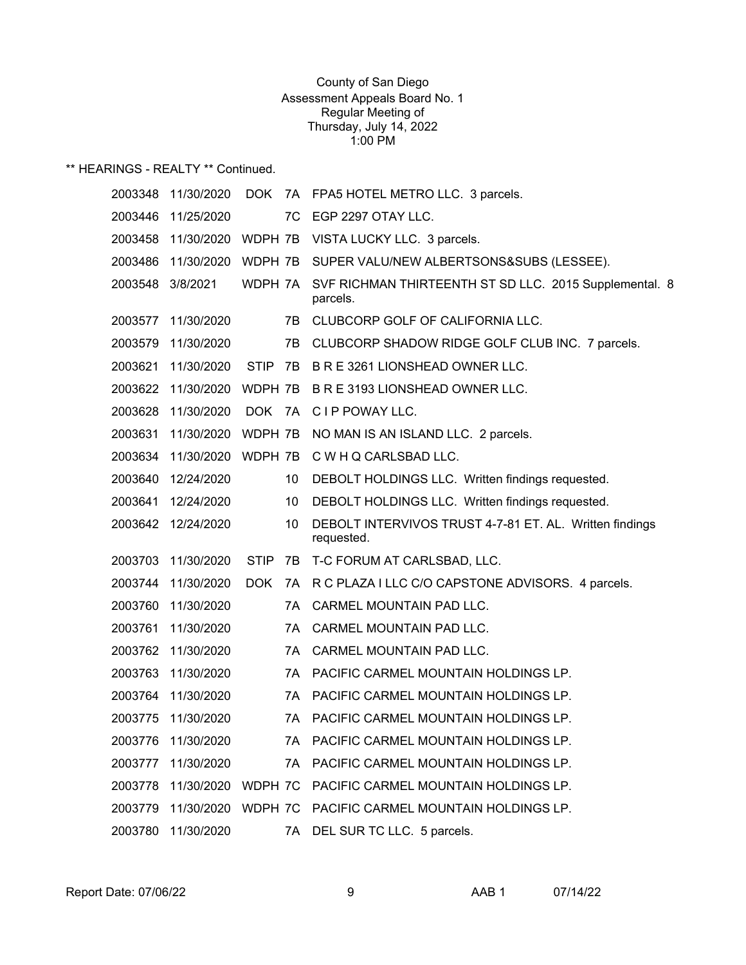| 2003348 | 11/30/2020         | <b>DOK</b>  | 7A  | FPA5 HOTEL METRO LLC. 3 parcels.                                      |
|---------|--------------------|-------------|-----|-----------------------------------------------------------------------|
| 2003446 | 11/25/2020         |             | 7C  | EGP 2297 OTAY LLC.                                                    |
| 2003458 | 11/30/2020 WDPH 7B |             |     | VISTA LUCKY LLC. 3 parcels.                                           |
| 2003486 | 11/30/2020         |             |     | WDPH 7B SUPER VALU/NEW ALBERTSONS&SUBS (LESSEE).                      |
|         | 2003548 3/8/2021   | WDPH 7A     |     | SVF RICHMAN THIRTEENTH ST SD LLC. 2015 Supplemental. 8<br>parcels.    |
| 2003577 | 11/30/2020         |             | 7B  | CLUBCORP GOLF OF CALIFORNIA LLC.                                      |
| 2003579 | 11/30/2020         |             | 7B  | CLUBCORP SHADOW RIDGE GOLF CLUB INC. 7 parcels.                       |
| 2003621 | 11/30/2020         | <b>STIP</b> | 7B  | B R E 3261 LIONSHEAD OWNER LLC.                                       |
| 2003622 | 11/30/2020         | WDPH 7B     |     | B R E 3193 LIONSHEAD OWNER LLC.                                       |
| 2003628 | 11/30/2020         | <b>DOK</b>  | 7A  | C I P POWAY LLC.                                                      |
| 2003631 | 11/30/2020         | WDPH 7B     |     | NO MAN IS AN ISLAND LLC. 2 parcels.                                   |
| 2003634 | 11/30/2020         | WDPH 7B     |     | C W H Q CARLSBAD LLC.                                                 |
| 2003640 | 12/24/2020         |             | 10  | DEBOLT HOLDINGS LLC. Written findings requested.                      |
| 2003641 | 12/24/2020         |             | 10  | DEBOLT HOLDINGS LLC. Written findings requested.                      |
| 2003642 | 12/24/2020         |             | 10  | DEBOLT INTERVIVOS TRUST 4-7-81 ET. AL. Written findings<br>requested. |
| 2003703 | 11/30/2020         | <b>STIP</b> | 7B  | T-C FORUM AT CARLSBAD, LLC.                                           |
| 2003744 | 11/30/2020         | <b>DOK</b>  | 7A  | R C PLAZA I LLC C/O CAPSTONE ADVISORS. 4 parcels.                     |
| 2003760 | 11/30/2020         |             | 7A  | CARMEL MOUNTAIN PAD LLC.                                              |
| 2003761 | 11/30/2020         |             | 7A  | CARMEL MOUNTAIN PAD LLC.                                              |
| 2003762 | 11/30/2020         |             | 7A  | CARMEL MOUNTAIN PAD LLC.                                              |
| 2003763 | 11/30/2020         |             | 7A  | PACIFIC CARMEL MOUNTAIN HOLDINGS LP.                                  |
| 2003764 | 11/30/2020         |             | 7A  | PACIFIC CARMEL MOUNTAIN HOLDINGS LP.                                  |
| 2003775 | 11/30/2020         |             | 7A. | PACIFIC CARMEL MOUNTAIN HOLDINGS LP.                                  |
| 2003776 | 11/30/2020         |             | 7A  | PACIFIC CARMEL MOUNTAIN HOLDINGS LP.                                  |
| 2003777 | 11/30/2020         |             | 7A  | PACIFIC CARMEL MOUNTAIN HOLDINGS LP.                                  |
| 2003778 | 11/30/2020         | WDPH 7C     |     | PACIFIC CARMEL MOUNTAIN HOLDINGS LP.                                  |
| 2003779 | 11/30/2020         | WDPH 7C     |     | PACIFIC CARMEL MOUNTAIN HOLDINGS LP.                                  |
| 2003780 | 11/30/2020         |             | 7A  | DEL SUR TC LLC. 5 parcels.                                            |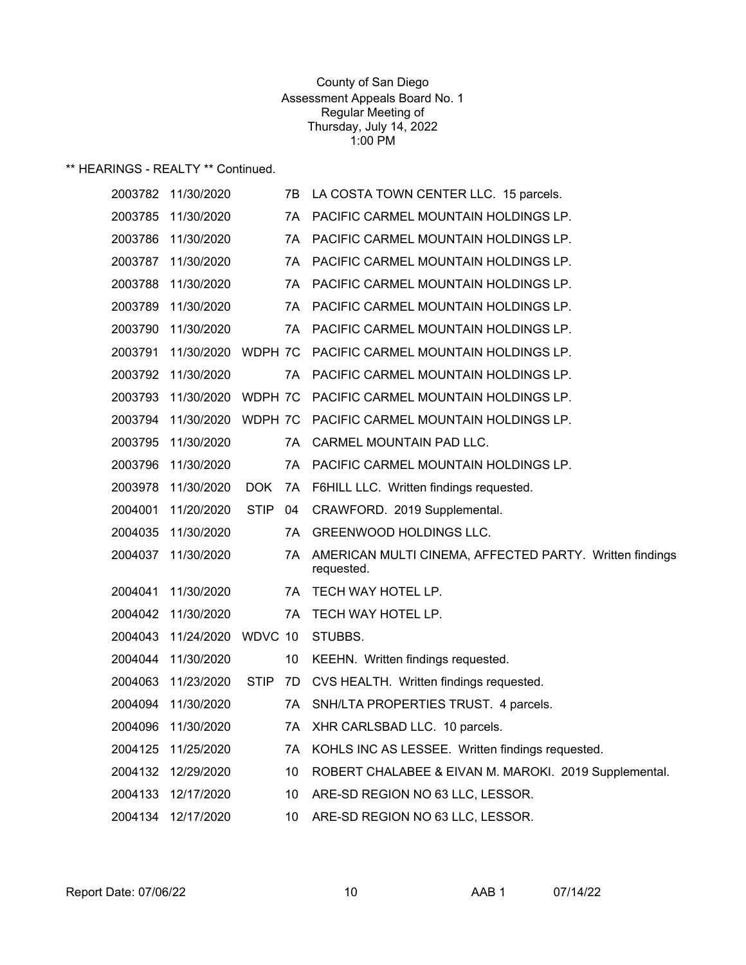|         |                    |                   | LA COSTA TOWN CENTER LLC. 15 parcels.                                 |
|---------|--------------------|-------------------|-----------------------------------------------------------------------|
| 2003785 | 11/30/2020         | 7A                | PACIFIC CARMEL MOUNTAIN HOLDINGS LP.                                  |
| 2003786 | 11/30/2020         | 7A                | PACIFIC CARMEL MOUNTAIN HOLDINGS LP.                                  |
| 2003787 | 11/30/2020         | 7A                | PACIFIC CARMEL MOUNTAIN HOLDINGS LP.                                  |
| 2003788 | 11/30/2020         | 7A                | PACIFIC CARMEL MOUNTAIN HOLDINGS LP.                                  |
| 2003789 | 11/30/2020         | 7Α                | PACIFIC CARMEL MOUNTAIN HOLDINGS LP.                                  |
| 2003790 | 11/30/2020         | 7A                | PACIFIC CARMEL MOUNTAIN HOLDINGS LP.                                  |
| 2003791 | 11/30/2020 WDPH 7C |                   | PACIFIC CARMEL MOUNTAIN HOLDINGS LP.                                  |
| 2003792 | 11/30/2020         | 7A.               | PACIFIC CARMEL MOUNTAIN HOLDINGS LP.                                  |
| 2003793 | 11/30/2020         | WDPH 7C           | PACIFIC CARMEL MOUNTAIN HOLDINGS LP.                                  |
| 2003794 |                    |                   | 11/30/2020 WDPH 7C PACIFIC CARMEL MOUNTAIN HOLDINGS LP.               |
| 2003795 | 11/30/2020         | 7A -              | CARMEL MOUNTAIN PAD LLC.                                              |
| 2003796 | 11/30/2020         | 7A                | PACIFIC CARMEL MOUNTAIN HOLDINGS LP.                                  |
| 2003978 | 11/30/2020         | DOK.<br>7A        | F6HILL LLC. Written findings requested.                               |
| 2004001 | 11/20/2020         | <b>STIP</b><br>04 | CRAWFORD. 2019 Supplemental.                                          |
| 2004035 | 11/30/2020         | 7A                | <b>GREENWOOD HOLDINGS LLC.</b>                                        |
|         | 2004037 11/30/2020 | 7A                | AMERICAN MULTI CINEMA, AFFECTED PARTY. Written findings<br>requested. |
| 2004041 | 11/30/2020         | 7A                | TECH WAY HOTEL LP.                                                    |
| 2004042 | 11/30/2020         | 7A                | TECH WAY HOTEL LP.                                                    |
| 2004043 | 11/24/2020 WDVC 10 |                   | STUBBS.                                                               |
| 2004044 | 11/30/2020         | 10                | KEEHN. Written findings requested.                                    |
| 2004063 | 11/23/2020         | <b>STIP</b><br>7D | CVS HEALTH. Written findings requested.                               |
| 2004094 | 11/30/2020         | 7A                | SNH/LTA PROPERTIES TRUST. 4 parcels.                                  |
| 2004096 | 11/30/2020         | 7A                | XHR CARLSBAD LLC. 10 parcels.                                         |
| 2004125 | 11/25/2020         | 7A                | KOHLS INC AS LESSEE. Written findings requested.                      |
| 2004132 | 12/29/2020         | 10                | ROBERT CHALABEE & EIVAN M. MAROKI. 2019 Supplemental.                 |
| 2004133 | 12/17/2020         | 10                | ARE-SD REGION NO 63 LLC, LESSOR.                                      |
| 2004134 | 12/17/2020         | 10                | ARE-SD REGION NO 63 LLC, LESSOR.                                      |
|         |                    |                   |                                                                       |